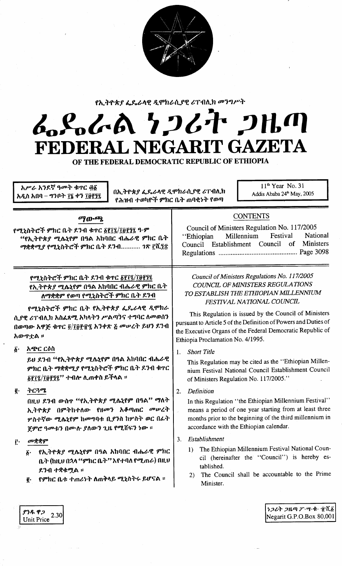

የኢትዮጵያ ፌዴራላዊ ዲሞክራሲያዊ ሪፐብሊክ መንግሥት

# んとんめ ケンムナ ンルの FEDERAL NEGARIT GAZETA

OF THE FEDERAL DEMOCRATIC REPUBLIC OF ETHIOPIA

 $11<sup>th</sup>$  Year No. 31 አሥራ አንደኛ ዓመት ቁጥር ፴፩ በኢትዮጵያ ፌጼራላዊ ዲሞክራሲያዊ ሪፐብሊክ Addis Ababa 24<sup>th</sup> May, 2005 አዲስ አበባ – ግንቦት ፲፯ ቀን ፲፱፻፺፯ የሕዝብ ተወካዮች ምክር ቤት ጠባቂነት የወጣ **CONTENTS** ማውጫ Council of Ministers Regulation No. 117/2005 የሚኒስትሮች ምክር ቤት ደንብ ቁጥር ፩፻፲፯/፲፱፻፺፯ ዓ·ም Festival National Millennium "Ethiopian "የኢትዮጵያ ሚሌኒየም በዓል አከባበር ብሔራዊ ምክር ቤት Council Establishment Council of Ministers ማቋቋሚያ የሚኒስትሮች ምክር ቤት ደንብ........... ገጽ ፫ሺ፺፰ Council of Ministers Regulations No. 117/2005 የሚኒስትሮች ምክር ቤት ደንብ ቁጥር ፩፻፲፯/፲፱፻፺፯ COUNCIL OF MINISTERS REGULATIONS የኢትዮጵ*ያ ሚ*ሴኒየም በዓል አከባበር ብሔራዊ ምክር ቤት TO ESTABLISH THE ETHIOPIAN MILLENNIUM ለማቋቋም የወጣ የሚኒስትሮች ምክር ቤት ደንብ FESTIVAL NATIONAL COUNCIL የሚኒስትሮች ምክር ቤት የኢትዮጵያ ፌዴራላዊ ዲሞክራ This Regulation is issued by the Council of Ministers ሲያዊ ሪፐብሊክ አስፈጻሚ አካላትን ሥልጣንና ተግባር ለመወሰን pursuant to Article 5 of the Definition of Powers and Duties of በወጣው አዋጅ ቁጥር ፬/፲፱፻፹፯ አንቀጽ ፭ መሥረት ይህን ደንብ the Executive Organs of the Federal Democratic Republic of አውዋቷል ፡፡ Ethiopia Proclamation No. 4/1995.  $\vec{\delta}$ . አጭር ርዕስ 1. Short Title ይህ ደንብ "የኢትዮጵያ ሚሴኒየም በዓል አከባበር ብሔራዊ This Regulation may be cited as the "Ethiopian Millen-ምክር ቤት ማቋቋሚያ የሚኒስትሮች ምክር ቤት ደንብ ቁዋር nium Festival National Council Establishment Council ፩፻፲፯/፲፱፻፺፯" ተብሎ ሊጠቀስ ይችላል ። of Ministers Regulation No. 117/2005." ትርጓሜ ĝ.  $2.$ Definition በዚህ ደንብ ውስጥ "የኢትዮጵያ ሚሴኒየም በዓል" ማለት In this Regulation "the Ethiopian Millennium Festival" means a period of one year starting from at least three ኢትዮጵያ በምትከተለው የዘመን አቆጣጠር መሠረት months prior to the beginning of the third millennium in ሦስተኛው ሚሌኒየም ከመግባቱ ቢያንስ ከሦስት ወር በፊት accordance with the Ethiopian calendar. ጀምሮ ዓመቱን በሙሉ ያለውን ጊዜ የሚሸፍን ነው ። 3. Establishment መቋቋም Ĉ٠ 1) The Ethiopian Millennium Festival National Coun-<u>፩· የኢትዮጵያ ሚሴኒየም በዓል አከባበር ብሔራዊ ምክር</u> cil (hereinafter the "Council") is hereby es-ቤት (ከዚሀ በኋላ ''ምክር ቤት'' እየተባለ የሚጠራ) በዚሀ tablished. ደንብ ተቋቁሟል ። The Council shall be accountable to the Prime  $2)$ ፪· የምክር ቤቱ ተጠሪነት ለጠቅላይ ሚኒስትሩ ይሆናል ፡፡ Minister. *ነጋሪት ጋዜጣ ፖ·ሣ·ቁ· ፹*ሺ፩ ያንዱ ዋጋ Unit Price  $^{2.30}$ Negarit G.P.O.Box 80,001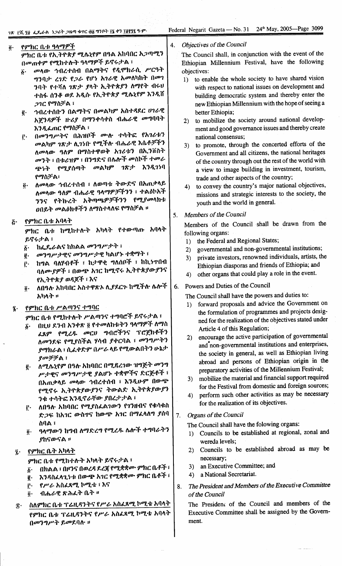$\ddot{\phantom{0}}$ 

ł,

| $\ddot{\mathbf{0}}$ .      | የምክር ቤቱ ዓላማዎች                                                                                                                                                                                                                                                                                                                                                                                                                                                                                                                                                                                                                                                                                           | 4.       | Objectives of the Council                                                                                                                                                                                                                                                                                                                                                                                                                                                                                                                                                                                                                                                                                                                                                                                                                                                                                                                                                    |
|----------------------------|---------------------------------------------------------------------------------------------------------------------------------------------------------------------------------------------------------------------------------------------------------------------------------------------------------------------------------------------------------------------------------------------------------------------------------------------------------------------------------------------------------------------------------------------------------------------------------------------------------------------------------------------------------------------------------------------------------|----------|------------------------------------------------------------------------------------------------------------------------------------------------------------------------------------------------------------------------------------------------------------------------------------------------------------------------------------------------------------------------------------------------------------------------------------------------------------------------------------------------------------------------------------------------------------------------------------------------------------------------------------------------------------------------------------------------------------------------------------------------------------------------------------------------------------------------------------------------------------------------------------------------------------------------------------------------------------------------------|
|                            | ምክር ቤቱ የኢትዮጵያ ሚሴኒየም በዓል አከባበር አጋጣሚን<br>በመጠቀም የሚከተሉት ዓላማዎች ይኖሩታል ፣<br>መላው ኅብረተሰብ በልማትና የዲሞክራሲ ሥርዓት<br>$\ddot{\bm{\delta}}$ .<br>ግንባታ ረንድ የ <i>ጋራ</i> የሆነ አንራዊ አመለካከት በመን                                                                                                                                                                                                                                                                                                                                                                                                                                                                                                                                 |          | The Council shall, in conjunction with the event of the<br>Ethiopian Millennium Festival, have the following<br>objectives:<br>to enable the whole society to have shared vision<br>1)                                                                                                                                                                                                                                                                                                                                                                                                                                                                                                                                                                                                                                                                                                                                                                                       |
|                            | ንባት የተሻለ <i>ገጽታ ያ</i> ላት ኢትዮጵያን ለማየት ብሩ <del>ህ</del><br>ተስፋ ሰንቆ ወደ አዲሱ የኢትዮጵያ ሚሴኒየም እንዲሸ<br><i>ጋገር የማስቻል</i> ፣<br>ኅብረተሰቡን በልማትና በመልካም አስተዳደር ሀገራዊ<br>ğ.<br>አጀንዳዎች ዙሪያ በማንቀሳቀስ ብሔራዊ <i>መግ</i> ባባት                                                                                                                                                                                                                                                                                                                                                                                                                                                                                                        |          | with respect to national issues on development and<br>building democratic system and thereby enter the<br>new Ethiopian Millennium with the hope of seeing a<br>better Ethiopia;<br>to mobilize the society around national develop-                                                                                                                                                                                                                                                                                                                                                                                                                                                                                                                                                                                                                                                                                                                                         |
|                            | እንዲፌጠር የማስቻል ፣<br>በመንግሥትና በሕዝቦች ሙሉ ተሳትፎ የአገሪቱን<br>Ĉ٠<br>መልካም <i>ገጽታ</i> ሊገነቡ የሚችሉ ብሔራዊ እሴቶቻችን<br>ለመላው ዓለም በማስተዋወቅ አገሪቱን በኢንቨስት<br><i>መንት ፣</i> በቱሪዝም ፣ በንግድና በሴሎች መስኮች ተመራ<br>ጭነት የሚያሰጣት መልካም ገጽታ እንዲገነባ<br>የማስቻል፣<br>ለመላው ኅብረተሰብ ፣ ለወጣቱ ትውድና በአጠቃላይ<br>$\overline{0}$<br>ለመላው ዓለም ብሔራዊ ዓላማዎቻችንን ፣ ተልዕኮአች<br>ንንና የትኩረት አቅጣጫዎቻችንን የሚያመላክቱ<br><b>ዐበይት መልዕክቶችን ለማስተላለፍ የማስቻል ፡፡</b>                                                                                                                                                                                                                                                                                                                        | 5.       | 2)<br>ment and good governance issues and thereby create<br>national consensus;<br>3) to promote, through the concerted efforts of the<br>Government and all citizens, the national heritages<br>of the country through out the rest of the world with<br>a view to image building in investment, tourism,<br>trade and other aspects of the country;<br>to convey the country's major national objectives,<br>4)<br>missions and strategic interests to the society, the<br>youth and the world in general.<br>Members of the Council                                                                                                                                                                                                                                                                                                                                                                                                                                       |
| $\tilde{G}$ .              | የምክር ቤቱ አባላት<br>ምክር ቤቱ ከሚከተሉት አካላት የተውጣጡ አባላት<br>ይኖሩታል ፣<br>ከፌዴራልና ከክልል መንግሥታት ፣<br>$\vec{b}$ .<br>መንግሥታዊና መንግሥታዊ ካልሆኑ ተቋማት ፣<br>ğ.<br>ከግል ባለሃብቶች ፣ ከታዋቂ ግለሰቦች ፣ ከኪንዋበብ<br>$\mathbf{r}$ .<br>ባለሙያዎች ፣ በውጭ አገር ከሚኖሩ ኢትዮጵያውያንና<br>የኢትዮጵያ ወዳጆች ፣ እና                                                                                                                                                                                                                                                                                                                                                                                                                                                        |          | Members of the Council shall be drawn from the<br>following organs:<br>the Federal and Regional States;<br>1)<br>governmental and non-governmental institutions;<br>$\mathbf{2}$<br>private investors, renowned individuals, artists, the<br>3)<br>Ethiopian diasporas and friends of Ethiopia; and<br>other organs that could play a role in the event.<br>4)<br>Powers and Duties of the Council                                                                                                                                                                                                                                                                                                                                                                                                                                                                                                                                                                           |
| Ţ.                         | ለበዓሉ አከባበር አስተዋጽኦ ሊያዶርጉ ከሚችሉ ሌሎች<br>$\ddot{\mathbf{0}}$ .<br>አካላት ።<br>የምክር ቤቱ ሥልጣንና ተግባር<br>ምክር ቤቱ የሚከተሉት ሥልጣንና ተግባሮች ይኖሩታል ፣<br>በዚህ ደንብ አንቀጽ ፬ የተመለከቱትን ዓላማዎች ለማስ<br>$\boldsymbol{\delta}$ .<br>ፈጸም የሚረዱ መርሀ ግብሮችንና ፕሮጀክቶችን<br>ለመንደፍ የሚያስችል ሃሳብ ያቀርባል ፣ መንግሥትን<br>ያማክራል ፣ ሲፈቀድም በሥራ ላይ የሚውልበትን ሁኔታ<br>ያመቻቻል ፣<br>ለሚሴኒየም በዓሉ አከባበር በሚዷረገው ዝግጅት መንግ<br>ĝ.<br>ሥታዊና መንግሥታዊ ያልሆኑ ተቋሞችና ድርጅቶች ፣<br>በአጠቃላይ መላው ኅብረተሰብ ፣ እንዲሁም በውጭ<br>የሚኖሩ ኢትዮጵያውያንና ትውልድ ኢትዮጵያውያን<br>ንቁ ተሳትፎ እንዲኖራቸው ያበረታታል ፣<br>ለበዓሉ አከባበር የሚያስፌልንውን የገንዘብና የቁሳቁስ<br>ŕ٠<br>ድ <i>ጋ</i> ፍ ከአ <i>ገ</i> ር ውስዋና ከውም አገር በማፈላለግ ያሰባ<br>ስባል ፣<br>ዓላማውን ከግብ ለማድረግ የሚረዱ ሴሎች ተግባራትን<br>$\overline{\mathbf{0}}$ .<br>ያከናውናል ፡፡<br>የምክር ቤት አካላ <u>ት</u> | 6.<br>7. | The Council shall have the powers and duties to:<br>forward proposals and advice the Government on<br>1)<br>the formulation of programmes and projects desig-<br>ned for the realization of the objectives stated under<br>Article 4 of this Regulation;<br>encourage the active participation of governmental<br>2)<br>and non-governmental institutions and enterprises,<br>the society in general, as well as Ethiopian living<br>abroad and persons of Ethiopian origin in the<br>preparatory activities of the Millennium Festival;<br>mobilize the material and financial support required<br>3)<br>for the Festival from domestic and foreign sources;<br>perform such other activities as may be necessary<br>4)<br>for the realization of its objectives.<br>Organs of the Council<br>The Council shall have the folowing organs:<br>Councils to be established at regional, zonal and<br>1)<br>wereda levels;<br>Councils to be established abroad as may be<br>2) |
| $\hat{\mathbf{z}}$ .<br>Î٠ | ምክር ቤቱ የሚከተሉት አካላት ይኖሩታል ፣<br>በክልል ፣ በዞንና በወረዳ ዶረጃ የሚቋቋሙ ምክር ቤቶች ፣<br>δ.<br>እንዳስፌላጊነቱ በውጭ አገር የሚቋቋሙ ምክር ቤቶች ፣<br>ğ.<br>የሥራ አስፈጻሚ ኮሚቴ ፣ እና<br>ŗ.<br>ብሔራዊ ጽሕፈት ቤት ።<br>$\vec{0}$ .<br>ስለምክር ቤቱ ፕሬዚዳንትና የሥራ አስፈጻሚ ኮሚቴ አባላት<br>የምክር ቤቱ ፕሬዚዳንትና የሥራ አስፌጻሚ ኮሚቴ አባላት<br>በመንግሥት ይመደባሉ ።                                                                                                                                                                                                                                                                                                                                                                                                                         | 8.       | necessary;<br>an Executive Committee; and<br>3)<br>a National Secretariat.<br>4)<br>The President and Members of the Executive Committee<br>of the Council<br>The President of the Council and members of the<br>Executive Committee shall be assigned by the Govern-<br>ment.                                                                                                                                                                                                                                                                                                                                                                                                                                                                                                                                                                                                                                                                                               |
|                            |                                                                                                                                                                                                                                                                                                                                                                                                                                                                                                                                                                                                                                                                                                         |          |                                                                                                                                                                                                                                                                                                                                                                                                                                                                                                                                                                                                                                                                                                                                                                                                                                                                                                                                                                              |

Τ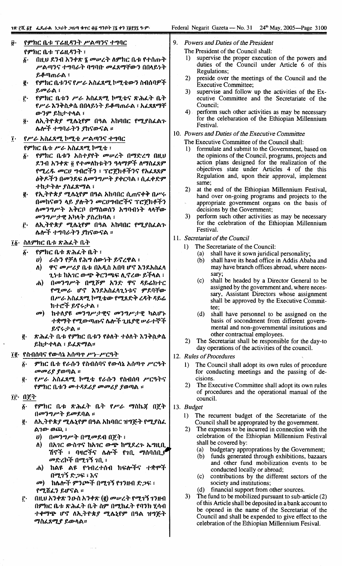#### የምክር ቤቱ ፕሬዚዳንት ሥልጣንና ተግባር ß. የምክር ቤቱ ፕሬዚዳንት ፣

- በዚህ ደንብ አንቀጽ ፤ መሠረት ለምክር ቤቱ የተሰጡት  $\boldsymbol{\delta}$  . ሥልጣንና ተግባራት ባግባቡ መፈጸማቸውን በበላይነት ይቆጣጠራል ፣
- የምክር ቤቱንና የሥራ አስፈጻሚ ኮሚቴውን ስብሰባዎች g. ይመራል ፣
- የምክር ቤቱን ሥራ አስፌጻሚ ኮሚቴና ጽሕፌት ቤት ŕ٠ የሥራ እንቅስቃሴ በበላይነት ይቆጣጠራል ፣ አፈጸጸማቸ ውንም ይከታተላል ፣
- ለኢትዮጵያ ሚሴኒየም በዓል አከባበር የሚያስፌልጉ  $\overline{\mathbf{0}}$  . ሌሎች ተግባራትን ያከናውናል ፡፡
- የሥራ አስፈጻሚ ኮሚቴ ሥልጣንና ተግባር  $\mathbf{\tilde{i}}$ .
	- የምክር ቤቱ ሥራ አስፈጻሚ ኮሚቴ ፣
	- የምክር ቤቱን አስተያየት መሠረት በማድረግ በዚህ δ. ደንብ አንቀጽ ፬ የተመለከቱትን ዓላማዎች ለማስፈጸም የሚረዱ መርሀ ግብሮችን ፣ ፕሮጀክቶችንና የአፈጸጸም ዕቅዶችን በመንደፍ ለመንግሥት ያቀርባል ፣ ሲፌቀድም ተከታትሎ ያስፈጽማል ፣
	- *የኢትዮጵያ ሚሴኒየም በዓ*ል አከባበር ሲጠናቀቅ በሥሩ g. በመከናወን ላይ ያሉትን መርሀግብሮችና ፕሮጀክቶችን ለመንግሥት አቅርቦ በማስወሰን አግባብነት ላላቸው *መንግሥታዊ አካ*ላት ያስረክባል ፣
	- ለኢትዮጵያ ሚሴኒየም በዓል አከባበር የሚያስፈልጉ  $\mathbf{r}$ . ሌሎች ተግባራትን ያከናውናል ፡፡

## ፲፩· ስለምክር ቤቱ ጽሕፈት ቤት

- የምክር ቤቱ ጽሕፈት ቤት ፣ б.
	- ራሱን የቻለ የሕግ ሰውነት ይኖረዋል ፣  $\boldsymbol{\theta}$
	- ዋና መሥሪያ ቤቱ በአዲስ አበባ ሆኖ እንደአስፈላ ለ) ጊንቱ ከአገር ውጭ ቅርንጫፍ ሊኖረው ይችላል ፣
	- በመንግሥት በሚሾም አንድ ዋና ዳይሬክተር  $\boldsymbol{d}$ የሚመራ ሆኖ እንደአስፈላጊነቱና ምደባቸው በሥራ አስፈጻሚ ኮሚቴው የሚጸድቅ ረዳት ዳይሬ ክተሮች ይኖሩታል ፣
	- ከተለያዩ መንግሥታዊና መንግሥታዊ ካልሆኑ  $\boldsymbol{a}$ ተቋማት የሚውጣጡና ሌሎች ጊዜያዊ ሥራተኞች ይኖሩታል።
- ጽሕፌት ቤቱ የምክር ቤቱን የዕለት ተዕለት እንቅስቃሴ  $\vec{e}$ ይከታተላል ፣ ይፈጽማል።

## ፲፪· የስብሰባና የውሳኔ አሰጣዋ ሥነ-ሥርዓት

- ምክር ቤቱ የራሱን የስብሰባና የውሳኔ አሰጣዋ ሥርዓት  $\boldsymbol{\hat{b}}$ መመሪያ ያወጣል ።
- የሥራ አስፌጻሚ ኮሚቴ የራሱን የስብሰባ ሥርዓትና ą. የምክር ቤቱን መተዳደሪያ መመሪያ ያወጣል ፡፡
- ፲፫ በጀት
	- የምክር ቤቱ ጽሕፌት ቤት የሥራ ማስኬጀ በጀት δ. በመንግሥት ይመደባል ።
	- ለኢትዮጵያ ሚሴኒየም በዓል አከባበር ዝግጅት የሚያስፈ g. ል*ገው ወጪ* ፣
		- በመንግሥት በሚመደብ በጀት ፣ U)
		- በአገር ውስዋና ከአገር ውጭ ከሚደረጉ ኤግዚቢ ለ) ሽኖች ፣ ባዛሮችና ሌሎች የኀቢ *ማ*ሰባሰቢ*ያ* መድረኮች በሚገኝ ገቢ ፣
		- ከልዩ ልዩ የኅብረተሰብ ክፍሎችና ተቋሞች ሐ) በሚገኝ ድጋፍ ፡ እና
		- *መ*) ከሌሎች ምንጮች በሚገኝ የገንዘብ ድ*ጋ*ፍ ፡ የሚሸፈን ይሆናል ።
	- በዚህ አንቀጽ ንዑስ አንቀጽ (፪) መሥረት የሚገኝ ገንዘብ ŕ٠ በምክር ቤቱ ጽሕፌት ቤት ስም በሚከፌት የባንክ ሂሳብ ተቀማጭ ሆኖ ለኢትዮጵያ ሚሴኒየም በዓል ዝግጅት *ማስፈጸሚያ ይውላል።*
- $\mathbf{Q}$ Powers and Duties of the President
	- The President of the Council shall:
	- supervise the proper execution of the powers and  $\mathbf{D}$ duties of the Council under Article 6 of this Regulations;
	- preside over the meetings of the Council and the  $2)$ **Executive Committee;**
	- supervise and follow up the activities of the Ex- $3)$ ecutive Committee and the Secretariate of the Council:
	- 4) perform such other activities as may be necessary for the celebaration of the Ethiopian Millennium Festival.
- 10. Powers and Duties of the Executive Committee
	- The Executive Committee of the Council shall:
	- formulate and submit to the Government, based on  $\mathbf{1}$ the opinions of the Council, programs, projects and<br>action plans designed for the realization of the objectives state under Articles 4 of the this Regulation and, upon their approval, implement same;
	- at the end of the Ethiopian Millennium Festival,  $2\lambda$ hand over on-going programs and projects to the appropriate government organs on the basis of decisions by the Government;
	- $3)$ perform such other activities as may be necessary for the celebration of the Ethiopian Millennium Festival
- 11. Secretariat of the Council
	- $\mathbf{1}$ The Secretariate of the Council:
		- $(a)$ shall have it sown juridical personality;
		- shall have its head office in Addis Ababa and  $(b)$ may have branch offices abroad, where necessary;
		- shall be headed by a Director General to be  $(c)$ assigned by the government and, where necessary, Assistant Directors whose assignment shall be approved by the Executive Committee;
		- $(d)$ shall have personnel to be assigned on the basis of socondment from different governmental and non-governmental insitutions and other contractual employees.
	- The Secretariat shall be responsible for the day-to  $2)$ day operations of the activities of the council.
- 12. Rules of Procedures
	- The Council shall adopt its own rules of procedure  $\mathbf{1}$ for conducting meetings and the passing of decisions.
	- The Executive Committee shall adopt its own rules  $2)$ of procedures and the operational manual of the council.
- 13. Budget
	- $\bf{1}$ The recurrent budget of the Secretariate of the Council shall be approprated by the government.
	- The expenses to be incurred in connection with the  $2)$ celebration of the Ethiopian Millennium Festival shall be covered by:
		- budgetary approprations by the Government;  $(a)$
		- $(b)$ funds generated through exhibitions, bazaars and other fund mobilization events to be conducted locally or abroad;
		- contributions by the different sectors of the  $(c)$ society and institutions;
		- financial support from other sources.  $(d)$
	- $3)$ The fund to be mobilized pursuant to sub-article (2) of this Article shall be deposited in a bank account to be opened in the name of the Secretariat of the Council and shall be expended to give effect to the celebration of the Ethiopian Millennium Fesival.